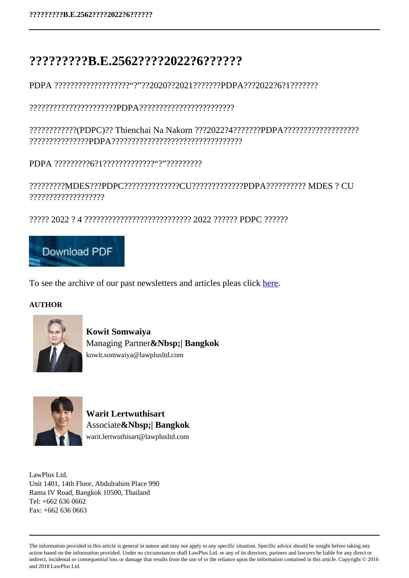## **?????????B.E.2562????2022?6??????**

PDPA ???????????????????"?"??2020??2021???????PDPA???2022?6?1???????

??????????????????????PDPA????????????????????????

????????????(PDPC)?? Thienchai Na Nakorn ???2022?4???????PDPA??????????????????? ???????????????PDPA?????????????????????????????????

PDPA ?????????6?1?????????????"?"?????????

?????????MDES???PDPC??????????????CU?????????????PDPA?????????? MDES ? CU ???????????????????

????? 2022 ? 4 ??????????????????????????? 2022 ?????? PDPC ??????



To see the archive of our past newsletters and articles pleas click here.

## **AUTHOR**



**Kowit Somwaiya** Managing Partner**&Nbsp;| Bangkok** kowit.somwaiya@lawplusltd.com



**Warit Lertwuthisart** Associate**&Nbsp;| Bangkok** warit.lertwuthisart@lawplusltd.com

LawPlus Ltd. Unit 1401, 14th Floor, Abdulrahim Place 990 Rama IV Road, Bangkok 10500, Thailand  $Tel· + 662 636 0662$ Fax: +662 636 0663

The information provided in this article is general in nature and may not apply to any specific situation. Specific advice should be sought before taking any action based on the information provided. Under no circumstances shall LawPlus Ltd. or any of its directors, partners and lawyers be liable for any direct or indirect, incidental or consequential loss or damage that results from the use of or the reliance upon the information contained in this article. Copyright © 2016 and 2018 LawPlus Ltd.